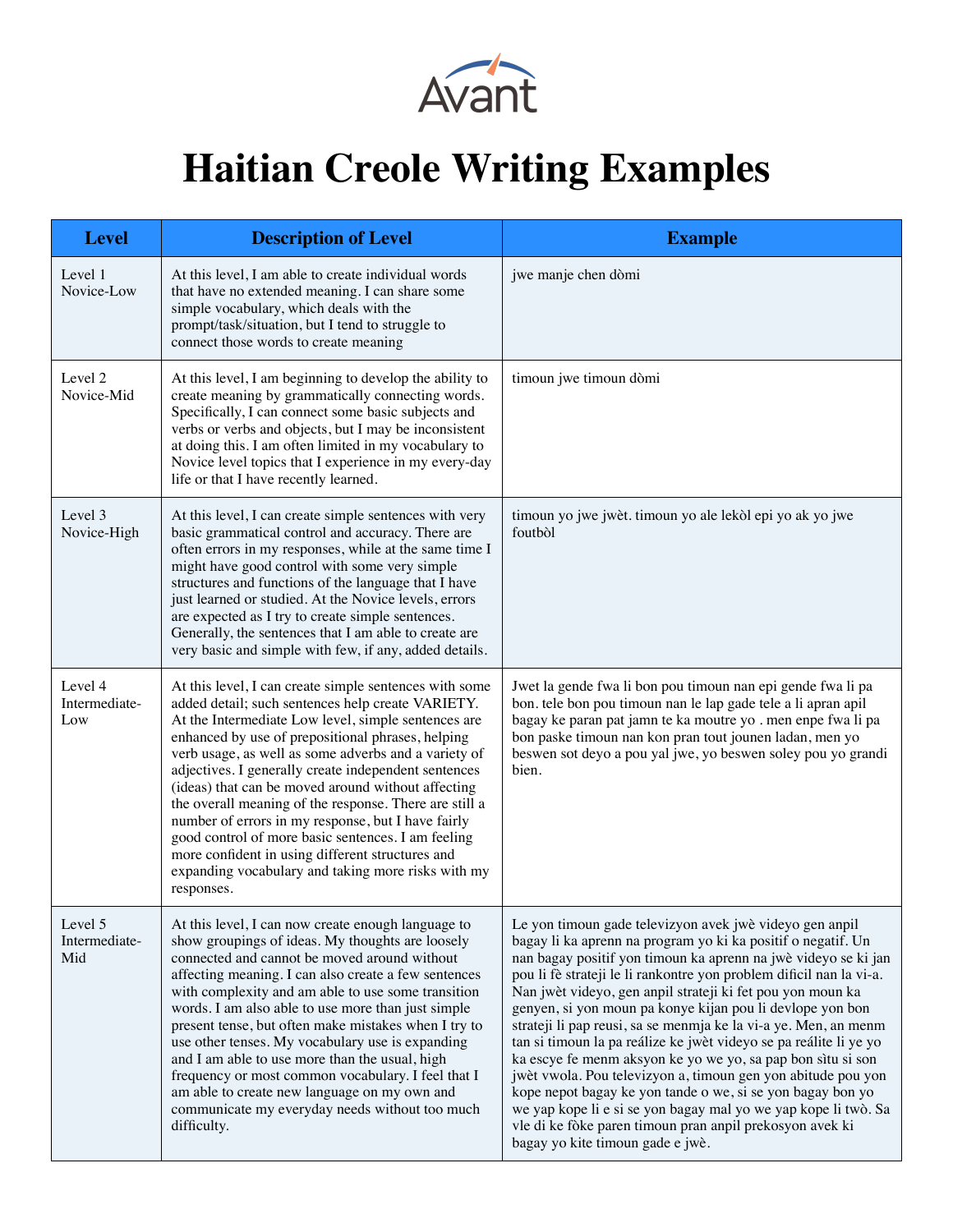

## **Haitian Creole Writing Examples**

| <b>Level</b>                    | <b>Description of Level</b>                                                                                                                                                                                                                                                                                                                                                                                                                                                                                                                                                                                                                                                                 | <b>Example</b>                                                                                                                                                                                                                                                                                                                                                                                                                                                                                                                                                                                                                                                                                                                                                                                                                                                                                     |
|---------------------------------|---------------------------------------------------------------------------------------------------------------------------------------------------------------------------------------------------------------------------------------------------------------------------------------------------------------------------------------------------------------------------------------------------------------------------------------------------------------------------------------------------------------------------------------------------------------------------------------------------------------------------------------------------------------------------------------------|----------------------------------------------------------------------------------------------------------------------------------------------------------------------------------------------------------------------------------------------------------------------------------------------------------------------------------------------------------------------------------------------------------------------------------------------------------------------------------------------------------------------------------------------------------------------------------------------------------------------------------------------------------------------------------------------------------------------------------------------------------------------------------------------------------------------------------------------------------------------------------------------------|
| Level 1<br>Novice-Low           | At this level, I am able to create individual words<br>that have no extended meaning. I can share some<br>simple vocabulary, which deals with the<br>prompt/task/situation, but I tend to struggle to<br>connect those words to create meaning                                                                                                                                                                                                                                                                                                                                                                                                                                              | jwe manje chen dòmi                                                                                                                                                                                                                                                                                                                                                                                                                                                                                                                                                                                                                                                                                                                                                                                                                                                                                |
| Level 2<br>Novice-Mid           | At this level, I am beginning to develop the ability to<br>create meaning by grammatically connecting words.<br>Specifically, I can connect some basic subjects and<br>verbs or verbs and objects, but I may be inconsistent<br>at doing this. I am often limited in my vocabulary to<br>Novice level topics that I experience in my every-day<br>life or that I have recently learned.                                                                                                                                                                                                                                                                                                     | timoun jwe timoun dòmi                                                                                                                                                                                                                                                                                                                                                                                                                                                                                                                                                                                                                                                                                                                                                                                                                                                                             |
| Level 3<br>Novice-High          | At this level, I can create simple sentences with very<br>basic grammatical control and accuracy. There are<br>often errors in my responses, while at the same time I<br>might have good control with some very simple<br>structures and functions of the language that I have<br>just learned or studied. At the Novice levels, errors<br>are expected as I try to create simple sentences.<br>Generally, the sentences that I am able to create are<br>very basic and simple with few, if any, added details.                                                                                                                                                                             | timoun yo jwe jwèt. timoun yo ale lekòl epi yo ak yo jwe<br>foutbol                                                                                                                                                                                                                                                                                                                                                                                                                                                                                                                                                                                                                                                                                                                                                                                                                                |
| Level 4<br>Intermediate-<br>Low | At this level, I can create simple sentences with some<br>added detail; such sentences help create VARIETY.<br>At the Intermediate Low level, simple sentences are<br>enhanced by use of prepositional phrases, helping<br>verb usage, as well as some adverbs and a variety of<br>adjectives. I generally create independent sentences<br>(ideas) that can be moved around without affecting<br>the overall meaning of the response. There are still a<br>number of errors in my response, but I have fairly<br>good control of more basic sentences. I am feeling<br>more confident in using different structures and<br>expanding vocabulary and taking more risks with my<br>responses. | Jwet la gende fwa li bon pou timoun nan epi gende fwa li pa<br>bon. tele bon pou timoun nan le lap gade tele a li apran apil<br>bagay ke paran pat jamn te ka moutre yo . men enpe fwa li pa<br>bon paske timoun nan kon pran tout jounen ladan, men yo<br>beswen sot deyo a pou yal jwe, yo beswen soley pou yo grandi<br>bien.                                                                                                                                                                                                                                                                                                                                                                                                                                                                                                                                                                   |
| Level 5<br>Intermediate-<br>Mid | At this level, I can now create enough language to<br>show groupings of ideas. My thoughts are loosely<br>connected and cannot be moved around without<br>affecting meaning. I can also create a few sentences<br>with complexity and am able to use some transition<br>words. I am also able to use more than just simple<br>present tense, but often make mistakes when I try to<br>use other tenses. My vocabulary use is expanding<br>and I am able to use more than the usual, high<br>frequency or most common vocabulary. I feel that I<br>am able to create new language on my own and<br>communicate my everyday needs without too much<br>difficulty.                             | Le yon timoun gade televizyon avek jwè videyo gen anpil<br>bagay li ka aprenn na program yo ki ka positif o negatif. Un<br>nan bagay positif yon timoun ka aprenn na jwè videyo se ki jan<br>pou li fè strateji le li rankontre yon problem dificil nan la vi-a.<br>Nan jwèt videyo, gen anpil strateji ki fet pou yon moun ka<br>genyen, si yon moun pa konye kijan pou li devlope yon bon<br>strateji li pap reusi, sa se menmja ke la vi-a ye. Men, an menm<br>tan si timoun la pa reálize ke jwèt videyo se pa reálite li ye yo<br>ka escye fe menm aksyon ke yo we yo, sa pap bon sìtu si son<br>jwèt vwola. Pou televizyon a, timoun gen yon abitude pou yon<br>kope nepot bagay ke yon tande o we, si se yon bagay bon yo<br>we yap kope li e si se yon bagay mal yo we yap kope li twò. Sa<br>vle di ke fòke paren timoun pran anpil prekosyon avek ki<br>bagay yo kite timoun gade e jwè. |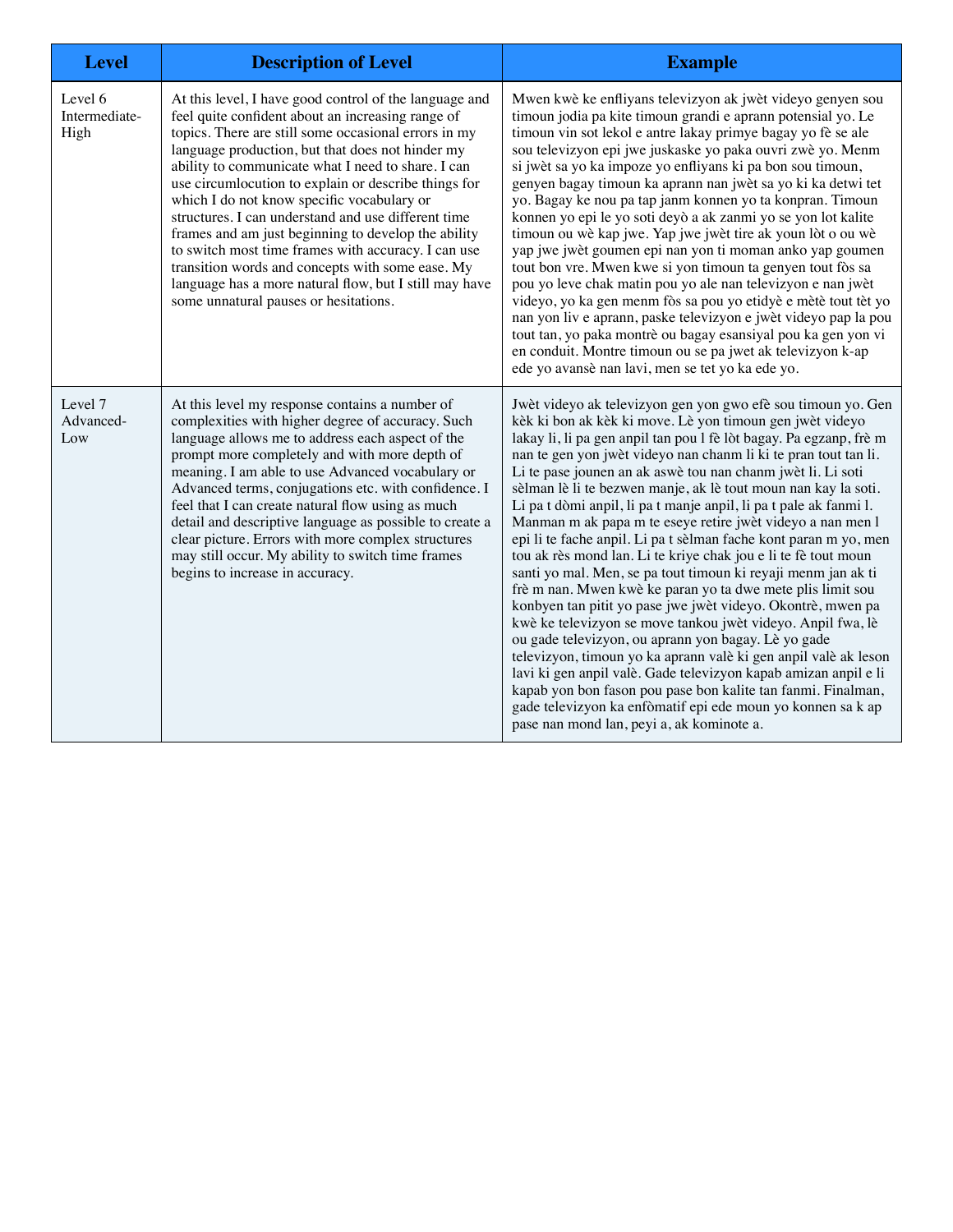| <b>Level</b>                     | <b>Description of Level</b>                                                                                                                                                                                                                                                                                                                                                                                                                                                                                                                                                                                                                                                                                     | <b>Example</b>                                                                                                                                                                                                                                                                                                                                                                                                                                                                                                                                                                                                                                                                                                                                                                                                                                                                                                                                                                                                                                                                                                                                                                                                                                                                                                    |
|----------------------------------|-----------------------------------------------------------------------------------------------------------------------------------------------------------------------------------------------------------------------------------------------------------------------------------------------------------------------------------------------------------------------------------------------------------------------------------------------------------------------------------------------------------------------------------------------------------------------------------------------------------------------------------------------------------------------------------------------------------------|-------------------------------------------------------------------------------------------------------------------------------------------------------------------------------------------------------------------------------------------------------------------------------------------------------------------------------------------------------------------------------------------------------------------------------------------------------------------------------------------------------------------------------------------------------------------------------------------------------------------------------------------------------------------------------------------------------------------------------------------------------------------------------------------------------------------------------------------------------------------------------------------------------------------------------------------------------------------------------------------------------------------------------------------------------------------------------------------------------------------------------------------------------------------------------------------------------------------------------------------------------------------------------------------------------------------|
| Level 6<br>Intermediate-<br>High | At this level, I have good control of the language and<br>feel quite confident about an increasing range of<br>topics. There are still some occasional errors in my<br>language production, but that does not hinder my<br>ability to communicate what I need to share. I can<br>use circumlocution to explain or describe things for<br>which I do not know specific vocabulary or<br>structures. I can understand and use different time<br>frames and am just beginning to develop the ability<br>to switch most time frames with accuracy. I can use<br>transition words and concepts with some ease. My<br>language has a more natural flow, but I still may have<br>some unnatural pauses or hesitations. | Mwen kwè ke enfliyans televizyon ak jwèt videyo genyen sou<br>timoun jodia pa kite timoun grandi e aprann potensial yo. Le<br>timoun vin sot lekol e antre lakay primye bagay yo fè se ale<br>sou televizyon epi jwe juskaske yo paka ouvri zwè yo. Menm<br>si jwèt sa yo ka impoze yo enfliyans ki pa bon sou timoun,<br>genyen bagay timoun ka aprann nan jwèt sa yo ki ka detwi tet<br>yo. Bagay ke nou pa tap janm konnen yo ta konpran. Timoun<br>konnen yo epi le yo soti deyò a ak zanmi yo se yon lot kalite<br>timoun ou wè kap jwe. Yap jwe jwèt tire ak youn lòt o ou wè<br>yap jwe jwèt goumen epi nan yon ti moman anko yap goumen<br>tout bon vre. Mwen kwe si yon timoun ta genyen tout fòs sa<br>pou yo leve chak matin pou yo ale nan televizyon e nan jwèt<br>videyo, yo ka gen menm fòs sa pou yo etidyè e mètè tout tèt yo<br>nan yon liv e aprann, paske televizyon e jwèt videyo pap la pou<br>tout tan, yo paka montrè ou bagay esansiyal pou ka gen yon vi<br>en conduit. Montre timoun ou se pa jwet ak televizyon k-ap<br>ede yo avansè nan lavi, men se tet yo ka ede yo.                                                                                                                                                                                                              |
| Level 7<br>Advanced-<br>Low      | At this level my response contains a number of<br>complexities with higher degree of accuracy. Such<br>language allows me to address each aspect of the<br>prompt more completely and with more depth of<br>meaning. I am able to use Advanced vocabulary or<br>Advanced terms, conjugations etc. with confidence. I<br>feel that I can create natural flow using as much<br>detail and descriptive language as possible to create a<br>clear picture. Errors with more complex structures<br>may still occur. My ability to switch time frames<br>begins to increase in accuracy.                                                                                                                              | Jwèt videyo ak televizyon gen yon gwo efè sou timoun yo. Gen<br>kèk ki bon ak kèk ki move. Lè yon timoun gen jwèt videyo<br>lakay li, li pa gen anpil tan pou l fè lòt bagay. Pa egzanp, frè m<br>nan te gen yon jwèt videyo nan chanm li ki te pran tout tan li.<br>Li te pase jounen an ak aswè tou nan chanm jwèt li. Li soti<br>sèlman lè li te bezwen manje, ak lè tout moun nan kay la soti.<br>Li pa t dòmi anpil, li pa t manje anpil, li pa t pale ak fanmi l.<br>Manman m ak papa m te eseye retire jwèt videyo a nan men l<br>epi li te fache anpil. Li pa t sèlman fache kont paran m yo, men<br>tou ak rès mond lan. Li te kriye chak jou e li te fè tout moun<br>santi yo mal. Men, se pa tout timoun ki reyaji menm jan ak ti<br>frè m nan. Mwen kwè ke paran yo ta dwe mete plis limit sou<br>konbyen tan pitit yo pase jwe jwèt videyo. Okontrè, mwen pa<br>kwè ke televizyon se move tankou jwèt videyo. Anpil fwa, lè<br>ou gade televizyon, ou aprann yon bagay. Lè yo gade<br>televizyon, timoun yo ka aprann valè ki gen anpil valè ak leson<br>lavi ki gen anpil valè. Gade televizyon kapab amizan anpil e li<br>kapab yon bon fason pou pase bon kalite tan fanmi. Finalman,<br>gade televizyon ka enfòmatif epi ede moun yo konnen sa k ap<br>pase nan mond lan, peyi a, ak kominote a. |